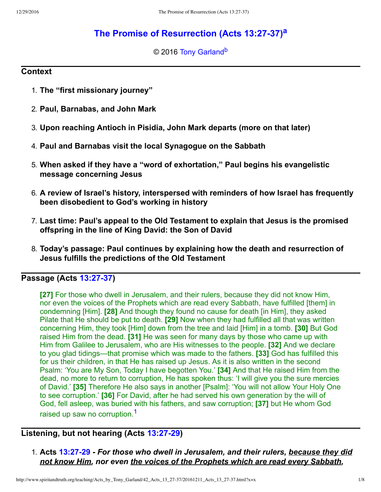# **[The Promise of Resurrection \(Acts 13:2737\)](http://www.spiritandtruth.org/teaching/Acts_by_Tony_Garland/42_Acts_13_27-37/index.htm)[a](#page-7-0)**

<span id="page-0-3"></span><span id="page-0-2"></span>© 2016 [Tony Garland](http://www.spiritandtruth.org/id/tg.htm)<sup>[b](#page-7-1)</sup>

### **Context**

- 1. **The "first missionary journey"**
- 2. **Paul, Barnabas, and John Mark**
- 3. **Upon reaching Antioch in Pisidia, John Mark departs (more on that later)**
- 4. **Paul and Barnabas visit the local Synagogue on the Sabbath**
- 5. **When asked if they have a "word of exhortation," Paul begins his evangelistic message concerning Jesus**
- 6. **A review of Israel's history, interspersed with reminders of how Israel has frequently been disobedient to God's working in history**
- 7. **Last time: Paul's appeal to the Old Testament to explain that Jesus is the promised offspring in the line of King David: the Son of David**
- 8. **Today's passage: Paul continues by explaining how the death and resurrection of Jesus fulfills the predictions of the Old Testament**

# **Passage (Acts 13:27-37)**

<span id="page-0-1"></span>**[27]** For those who dwell in Jerusalem, and their rulers, because they did not know Him, nor even the voices of the Prophets which are read every Sabbath, have fulfilled [them] in condemning [Him]. **[28]** And though they found no cause for death [in Him], they asked Pilate that He should be put to death. **[29]** Now when they had fulfilled all that was written concerning Him, they took [Him] down from the tree and laid [Him] in a tomb. **[30]** But God raised Him from the dead. **[31]** He was seen for many days by those who came up with Him from Galilee to Jerusalem, who are His witnesses to the people. **[32]** And we declare to you glad tidings—that promise which was made to the fathers. **[33]** God has fulfilled this for us their children, in that He has raised up Jesus. As it is also written in the second Psalm: 'You are My Son, Today I have begotten You.' **[34]** And that He raised Him from the dead, no more to return to corruption, He has spoken thus: 'I will give you the sure mercies of David.' **[35]** Therefore He also says in another [Psalm]: 'You will not allow Your Holy One to see corruption.' **[36]** For David, after he had served his own generation by the will of God, fell asleep, was buried with his fathers, and saw corruption; **[37]** but He whom God raised up saw no corruption.<sup>[1](#page-7-2)</sup>

# **Listening, but not hearing (Acts 13:27-29)**

<span id="page-0-0"></span>1. **Acts [13:2729](http://www.spiritandtruth.org/bibles/nasb/b44c013.htm#Acts_C13V27)** *For those who dwell in Jerusalem, and their rulers, because they did not know Him, nor even the voices of the Prophets which are read every Sabbath,*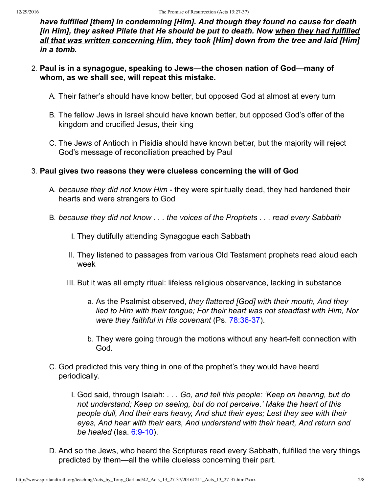*have fulfilled [them] in condemning [Him]. And though they found no cause for death [in Him], they asked Pilate that He should be put to death. Now when they had fulfilled all that was written concerning Him, they took [Him] down from the tree and laid [Him] in a tomb.*

- 2. **Paul is in a synagogue, speaking to Jews—the chosen nation of God—many of whom, as we shall see, will repeat this mistake.**
	- A. Their father's should have know better, but opposed God at almost at every turn
	- B. The fellow Jews in Israel should have known better, but opposed God's offer of the kingdom and crucified Jesus, their king
	- C. The Jews of Antioch in Pisidia should have known better, but the majority will reject God's message of reconciliation preached by Paul

### 3. **Paul gives two reasons they were clueless concerning the will of God**

- A. *because they did not know Him* they were spiritually dead, they had hardened their hearts and were strangers to God
- B. *because they did not know . . . the voices of the Prophets . . . read every Sabbath*
	- I. They dutifully attending Synagogue each Sabbath
	- II. They listened to passages from various Old Testament prophets read aloud each week
	- III. But it was all empty ritual: lifeless religious observance, lacking in substance
		- a. As the Psalmist observed, *they flattered [God] with their mouth, And they lied to Him with their tongue; For their heart was not steadfast with Him, Nor were they faithful in His covenant* (Ps. 78:36-37).
		- b. They were going through the motions without any heart-felt connection with God.
- C. God predicted this very thing in one of the prophet's they would have heard periodically.
	- I. God said, through Isaiah: *. . . Go, and tell this people: 'Keep on hearing, but do not understand; Keep on seeing, but do not perceive.' Make the heart of this people dull, And their ears heavy, And shut their eyes; Lest they see with their eyes, And hear with their ears, And understand with their heart, And return and be healed* (Isa. 6:9-10).
- D. And so the Jews, who heard the Scriptures read every Sabbath, fulfilled the very things predicted by them—all the while clueless concerning their part.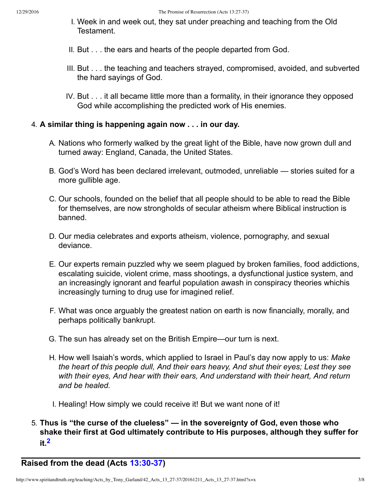- I. Week in and week out, they sat under preaching and teaching from the Old Testament.
- II. But . . . the ears and hearts of the people departed from God.
- III. But . . . the teaching and teachers strayed, compromised, avoided, and subverted the hard sayings of God.
- IV. But . . . it all became little more than a formality, in their ignorance they opposed God while accomplishing the predicted work of His enemies.

## 4. **A similar thing is happening again now . . . in our day.**

- A. Nations who formerly walked by the great light of the Bible, have now grown dull and turned away: England, Canada, the United States.
- B. God's Word has been declared irrelevant, outmoded, unreliable stories suited for a more gullible age.
- C. Our schools, founded on the belief that all people should to be able to read the Bible for themselves, are now strongholds of secular atheism where Biblical instruction is banned.
- D. Our media celebrates and exports atheism, violence, pornography, and sexual deviance.
- E. Our experts remain puzzled why we seem plagued by broken families, food addictions, escalating suicide, violent crime, mass shootings, a dysfunctional justice system, and an increasingly ignorant and fearful population awash in conspiracy theories whichis increasingly turning to drug use for imagined relief.
- F. What was once arguably the greatest nation on earth is now financially, morally, and perhaps politically bankrupt.
- G. The sun has already set on the British Empire—our turn is next.
- H. How well Isaiah's words, which applied to Israel in Paul's day now apply to us: *Make the heart of this people dull, And their ears heavy, And shut their eyes; Lest they see with their eyes, And hear with their ears, And understand with their heart, And return and be healed.*
- I. Healing! How simply we could receive it! But we want none of it!
- <span id="page-2-0"></span>5. **Thus is "the curse of the clueless" — in the sovereignty of God, even those who shake their first at God ultimately contribute to His purposes, although they suffer for it.[2](#page-7-3)**

**Raised from the dead (Acts 13:30-37)**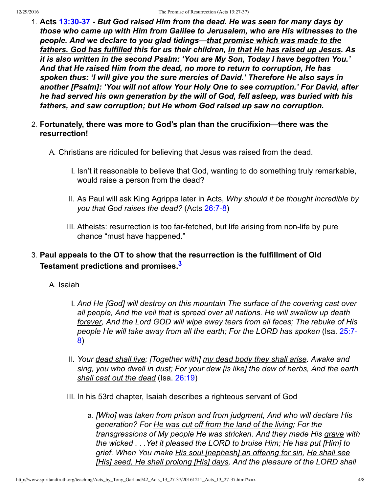- 1. **Acts [13:3037](http://www.spiritandtruth.org/bibles/nasb/b44c013.htm#Acts_C13V30)** *But God raised Him from the dead. He was seen for many days by those who came up with Him from Galilee to Jerusalem, who are His witnesses to the people. And we declare to you glad tidings—that promise which was made to the fathers. God has fulfilled this for us their children, in that He has raised up Jesus. As it is also written in the second Psalm: 'You are My Son, Today I have begotten You.' And that He raised Him from the dead, no more to return to corruption, He has spoken thus: 'I will give you the sure mercies of David.' Therefore He also says in another [Psalm]: 'You will not allow Your Holy One to see corruption.' For David, after he had served his own generation by the will of God, fell asleep, was buried with his fathers, and saw corruption; but He whom God raised up saw no corruption.*
- 2. **Fortunately, there was more to God's plan than the crucifixion—there was the resurrection!**
	- A. Christians are ridiculed for believing that Jesus was raised from the dead.
		- I. Isn't it reasonable to believe that God, wanting to do something truly remarkable, would raise a person from the dead?
		- II. As Paul will ask King Agrippa later in Acts, *Why should it be thought incredible by you that God raises the dead?* (Acts 26:7-8)
		- III. Atheists: resurrection is too far-fetched, but life arising from non-life by pure chance "must have happened."

# 3. **Paul appeals to the OT to show that the resurrection is the fulfillment of Old Testament predictions and promises.[3](#page-7-4)**

- <span id="page-3-0"></span>A. Isaiah
	- I. *And He [God] will destroy on this mountain The surface of the covering cast over all people, And the veil that is spread over all nations. He will swallow up death forever, And the Lord GOD will wipe away tears from all faces; The rebuke of His [people He will take away from all the earth; For the LORD has spoken](http://www.spiritandtruth.org/bibles/nasb/b23c025.htm#Isa._C25V7)* (Isa. 25:7 8)
	- II. *Your dead shall live; [Together with] my dead body they shall arise. Awake and sing, you who dwell in dust; For your dew [is like] the dew of herbs, And the earth shall cast out the dead* (Isa. [26:19](http://www.spiritandtruth.org/bibles/nasb/b23c026.htm#Isa._C26V19))
	- III. In his 53rd chapter, Isaiah describes a righteous servant of God
		- a. *[Who] was taken from prison and from judgment, And who will declare His generation? For He was cut off from the land of the living; For the transgressions of My people He was stricken. And they made His grave with the wicked . . .Yet it pleased the LORD to bruise Him; He has put [Him] to grief. When You make His soul [nephesh] an offering for sin, He shall see [His] seed, He shall prolong [His] days, And the pleasure of the LORD shall*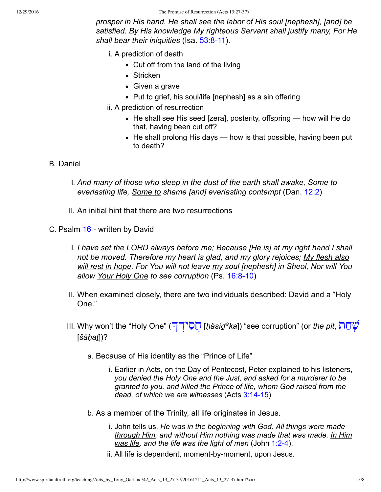#### 12/29/2016 The Promise of Resurrection (Acts 13:27-37)

*prosper in His hand. He shall see the labor of His soul [nephesh], [and] be satisfied. By His knowledge My righteous Servant shall justify many, For He* shall bear their iniquities (Isa. 53:8-11).

- i. A prediction of death
	- $\blacksquare$  Cut off from the land of the living
	- **Stricken**
	- **Given a grave**
	- Put to grief, his soul/life [nephesh] as a sin offering
- ii. A prediction of resurrection
	- $\blacksquare$  He shall see His seed [zera], posterity, offspring how will He do that, having been cut off?
	- $\blacksquare$  He shall prolong His days how is that possible, having been put to death?

### B. Daniel

- I. *And many of those who sleep in the dust of the earth shall awake, Some to everlasting life, Some to shame [and] everlasting contempt* (Dan. [12:2\)](http://www.spiritandtruth.org/bibles/nasb/b27c012.htm#Dan._C12V2)
- II. An initial hint that there are two resurrections

C. Psalm [16](http://www.spiritandtruth.org/bibles/nasb/b19c016.htm#Ps._C16V1)  written by David

- I. *I have set the LORD always before me; Because [He is] at my right hand I shall not be moved. Therefore my heart is glad, and my glory rejoices; My flesh also will rest in hope. For You will not leave my soul [nephesh] in Sheol, Nor will You allow Your Holy One to see corruption* (Ps. [16:810\)](http://www.spiritandtruth.org/bibles/nasb/b19c016.htm#Ps._C16V8)
- II. When examined closely, there are two individuals described: David and a "Holy One."
- III. Why won't the "Holy One" ( [ְיד ִס ֲח](http://www.spiritandtruth.org/fontsu/index.htm) ]*ḥăsîḏeka*]) "see corruption" (or *the pit*, [ת ąח Ćשׁ](http://www.spiritandtruth.org/fontsu/index.htm) [*šāḥaṯ*])?
	- a. Because of His identity as the "Prince of Life"
		- i. Earlier in Acts, on the Day of Pentecost, Peter explained to his listeners, *you denied the Holy One and the Just, and asked for a murderer to be granted to you, and killed the Prince of life, whom God raised from the* dead, of which we are witnesses (Acts 3:14-15)
	- b. As a member of the Trinity, all life originates in Jesus.
		- i. John tells us, *He was in the beginning with God. All things were made through Him, and without Him nothing was made that was made. In Him was life, and the life was the light of men* (John [1:24\)](http://www.spiritandtruth.org/bibles/nasb/b43c001.htm#John_C1V2).
		- ii. All life is dependent, moment-by-moment, upon Jesus.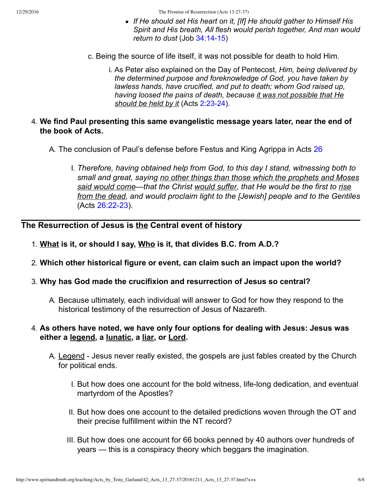12/29/2016 The Promise of Resurrection (Acts 13:27-37)

- *If He should set His heart on it, [If] He should gather to Himself His Spirit and His breath, All flesh would perish together, And man would return to dust* (Job 34:14-15)
- c. Being the source of life itself, it was not possible for death to hold Him.
	- i. As Peter also explained on the Day of Pentecost, *Him, being delivered by the determined purpose and foreknowledge of God, you have taken by lawless hands, have crucified, and put to death; whom God raised up, having loosed the pains of death, because it was not possible that He* should be held by it (Acts 2:23-24).
- 4. **We find Paul presenting this same evangelistic message years later, near the end of the book of Acts.**
	- A. The conclusion of Paul's defense before Festus and King Agrippa in Acts [26](http://www.spiritandtruth.org/bibles/nasb/b44c026.htm#Acts_C26V1)
		- I. *Therefore, having obtained help from God, to this day I stand, witnessing both to small and great, saying no other things than those which the prophets and Moses said would come—that the Christ would suffer, that He would be the first to rise from the dead, and would proclaim light to the [Jewish] people and to the Gentiles* (Acts 26:22-23).

# **The Resurrection of Jesus is the Central event of history**

- 1. **What is it, or should I say, Who is it, that divides B.C. from A.D.?**
- 2. **Which other historical figure or event, can claim such an impact upon the world?**
- 3. **Why has God made the crucifixion and resurrection of Jesus so central?**
	- A. Because ultimately, each individual will answer to God for how they respond to the historical testimony of the resurrection of Jesus of Nazareth.
- 4. **As others have noted, we have only four options for dealing with Jesus: Jesus was either a legend, a lunatic, a liar, or Lord.**
	- A. Legend Jesus never really existed, the gospels are just fables created by the Church for political ends.
		- I. But how does one account for the bold witness, life-long dedication, and eventual martyrdom of the Apostles?
		- II. But how does one account to the detailed predictions woven through the OT and their precise fulfillment within the NT record?
		- III. But how does one account for 66 books penned by 40 authors over hundreds of years — this is a conspiracy theory which beggars the imagination.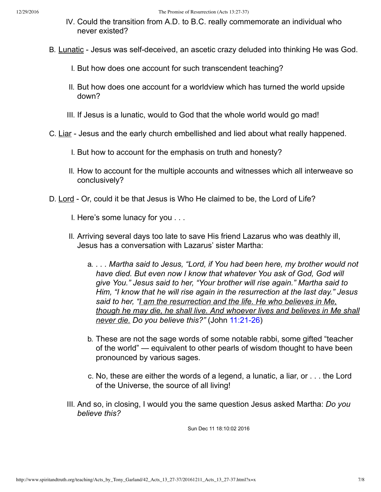- IV. Could the transition from A.D. to B.C. really commemorate an individual who never existed?
- B. Lunatic Jesus was self-deceived, an ascetic crazy deluded into thinking He was God.
	- I. But how does one account for such transcendent teaching?
	- II. But how does one account for a worldview which has turned the world upside down?
	- III. If Jesus is a lunatic, would to God that the whole world would go mad!
- C. Liar Jesus and the early church embellished and lied about what really happened.
	- I. But how to account for the emphasis on truth and honesty?
	- II. How to account for the multiple accounts and witnesses which all interweave so conclusively?
- D. Lord Or, could it be that Jesus is Who He claimed to be, the Lord of Life?
	- I. Here's some lunacy for you . . .
	- II. Arriving several days too late to save His friend Lazarus who was deathly ill, Jesus has a conversation with Lazarus' sister Martha:
		- a. *. . . Martha said to Jesus, "Lord, if You had been here, my brother would not have died. But even now I know that whatever You ask of God, God will give You." Jesus said to her, "Your brother will rise again." Martha said to Him, "I know that he will rise again in the resurrection at the last day." Jesus said to her, "I am the resurrection and the life. He who believes in Me, though he may die, he shall live. And whoever lives and believes in Me shall never die. Do you believe this?"* (John 11:21-26)
		- b. These are not the sage words of some notable rabbi, some gifted "teacher of the world" — equivalent to other pearls of wisdom thought to have been pronounced by various sages.
		- c. No, these are either the words of a legend, a lunatic, a liar, or . . . the Lord of the Universe, the source of all living!
	- III. And so, in closing, I would you the same question Jesus asked Martha: *Do you believe this?*

Sun Dec 11 18:10:02 2016